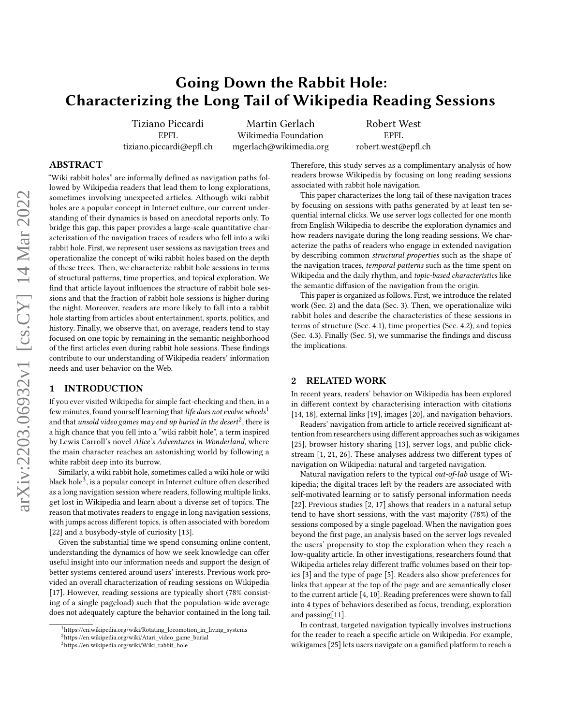# <span id="page-0-1"></span>Going Down the Rabbit Hole: Characterizing the Long Tail of Wikipedia Reading Sessions

Tiziano Piccardi EPFL tiziano.piccardi@epfl.ch

Martin Gerlach Wikimedia Foundation mgerlach@wikimedia.org

Robert West EPFL robert.west@epfl.ch

## ABSTRACT

"Wiki rabbit holes" are informally defined as navigation paths followed by Wikipedia readers that lead them to long explorations, sometimes involving unexpected articles. Although wiki rabbit holes are a popular concept in Internet culture, our current understanding of their dynamics is based on anecdotal reports only. To bridge this gap, this paper provides a large-scale quantitative characterization of the navigation traces of readers who fell into a wiki rabbit hole. First, we represent user sessions as navigation trees and operationalize the concept of wiki rabbit holes based on the depth of these trees. Then, we characterize rabbit hole sessions in terms of structural patterns, time properties, and topical exploration. We find that article layout influences the structure of rabbit hole sessions and that the fraction of rabbit hole sessions is higher during the night. Moreover, readers are more likely to fall into a rabbit hole starting from articles about entertainment, sports, politics, and history. Finally, we observe that, on average, readers tend to stay focused on one topic by remaining in the semantic neighborhood of the first articles even during rabbit hole sessions. These findings contribute to our understanding of Wikipedia readers' information needs and user behavior on the Web.

#### 1 INTRODUCTION

If you ever visited Wikipedia for simple fact-checking and then, in a few minutes, found yourself learning that life does not evolve wheels<sup>1</sup> and that *unsold video games may end up buried in the desert* $^2$ *,* there is a high chance that you fell into a "wiki rabbit hole", a term inspired by Lewis Carroll's novel Alice's Adventures in Wonderland, where the main character reaches an astonishing world by following a white rabbit deep into its burrow.

Similarly, a wiki rabbit hole, sometimes called a wiki hole or wiki black hole<sup>3</sup>, is a popular concept in Internet culture often described as a long navigation session where readers, following multiple links, get lost in Wikipedia and learn about a diverse set of topics. The reason that motivates readers to engage in long navigation sessions, with jumps across different topics, is often associated with boredom [\[22\]](#page-6-0) and a busybody-style of curiosity [\[13\]](#page-6-1).

Given the substantial time we spend consuming online content, understanding the dynamics of how we seek knowledge can offer useful insight into our information needs and support the design of better systems centered around users' interests. Previous work provided an overall characterization of reading sessions on Wikipedia [\[17\]](#page-6-2). However, reading sessions are typically short (78% consisting of a single pageload) such that the population-wide average does not adequately capture the behavior contained in the long tail. Therefore, this study serves as a complimentary analysis of how readers browse Wikipedia by focusing on long reading sessions associated with rabbit hole navigation.

This paper characterizes the long tail of these navigation traces by focusing on sessions with paths generated by at least ten sequential internal clicks. We use server logs collected for one month from English Wikipedia to describe the exploration dynamics and how readers navigate during the long reading sessions. We characterize the paths of readers who engage in extended navigation by describing common structural properties such as the shape of the navigation traces, temporal patterns such as the time spent on Wikipedia and the daily rhythm, and topic-based characteristics like the semantic diffusion of the navigation from the origin.

This paper is organized as follows. First, we introduce the related work (Sec. [2\)](#page-0-0) and the data (Sec. [3\)](#page-1-0). Then, we operationalize wiki rabbit holes and describe the characteristics of these sessions in terms of structure (Sec. [4.1\)](#page-2-0), time properties (Sec. [4.2\)](#page-3-0), and topics (Sec. [4.3\)](#page-3-1). Finally (Sec. [5\)](#page-5-0), we summarise the findings and discuss the implications.

#### <span id="page-0-0"></span>2 RELATED WORK

In recent years, readers' behavior on Wikipedia has been explored in different context by characterising interaction with citations [\[14,](#page-6-3) [18\]](#page-6-4), external links [\[19\]](#page-6-5), images [\[20\]](#page-6-6), and navigation behaviors.

Readers' navigation from article to article received significant attention from researchers using different approaches such as wikigames [\[25\]](#page-6-7), browser history sharing [\[13\]](#page-6-1), server logs, and public clickstream [\[1,](#page-6-8) [21,](#page-6-9) [26\]](#page-6-10). These analyses address two different types of navigation on Wikipedia: natural and targeted navigation.

Natural navigation refers to the typical out-of-lab usage of Wikipedia; the digital traces left by the readers are associated with self-motivated learning or to satisfy personal information needs [\[22\]](#page-6-0). Previous studies [\[2,](#page-6-11) [17\]](#page-6-2) shows that readers in a natural setup tend to have short sessions, with the vast majority (78%) of the sessions composed by a single pageload. When the navigation goes beyond the first page, an analysis based on the server logs revealed the users' propensity to stop the exploration when they reach a low-quality article. In other investigations, researchers found that Wikipedia articles relay different traffic volumes based on their topics [\[3\]](#page-6-12) and the type of page [\[5\]](#page-6-13). Readers also show preferences for links that appear at the top of the page and are semantically closer to the current article [\[4,](#page-6-14) [10\]](#page-6-15). Reading preferences were shown to fall into 4 types of behaviors described as focus, trending, exploration and passing[\[11\]](#page-6-16).

In contrast, targeted navigation typically involves instructions for the reader to reach a specific article on Wikipedia. For example, wikigames [\[25\]](#page-6-7) lets users navigate on a gamified platform to reach a

 $^1$ [https://en.wikipedia.org/wiki/Rotating\\_locomotion\\_in\\_living\\_systems](https://en.wikipedia.org/wiki/Rotating_locomotion_in_living_systems)

<sup>2</sup>[https://en.wikipedia.org/wiki/Atari\\_video\\_game\\_burial](https://en.wikipedia.org/wiki/Atari_video_game_burial)

<sup>3</sup>[https://en.wikipedia.org/wiki/Wiki\\_rabbit\\_hole](https://en.wikipedia.org/wiki/Wiki_rabbit_hole)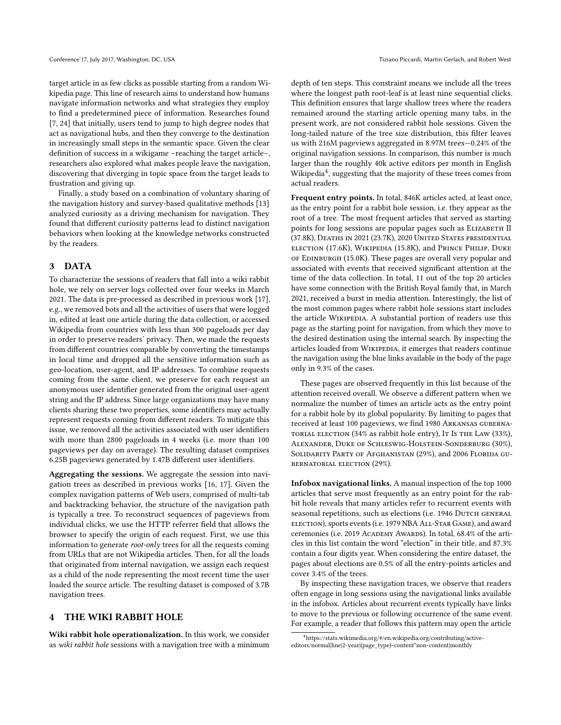target article in as few clicks as possible starting from a random Wikipedia page. This line of research aims to understand how humans navigate information networks and what strategies they employ to find a predetermined piece of information. Researches found [\[7,](#page-6-17) [24\]](#page-6-18) that initially, users tend to jump to high degree nodes that act as navigational hubs, and then they converge to the destination in increasingly small steps in the semantic space. Given the clear definition of success in a wikigame –reaching the target article–, researchers also explored what makes people leave the navigation, discovering that diverging in topic space from the target leads to frustration and giving up.

Finally, a study based on a combination of voluntary sharing of the navigation history and survey-based qualitative methods [\[13\]](#page-6-1) analyzed curiosity as a driving mechanism for navigation. They found that different curiosity patterns lead to distinct navigation behaviors when looking at the knowledge networks constructed by the readers.

## <span id="page-1-0"></span>3 DATA

To characterize the sessions of readers that fall into a wiki rabbit hole, we rely on server logs collected over four weeks in March 2021. The data is pre-processed as described in previous work [\[17\]](#page-6-2), e.g., we removed bots and all the activities of users that were logged in, edited at least one article during the data collection, or accessed Wikipedia from countries with less than 300 pageloads per day in order to preserve readers' privacy. Then, we made the requests from different countries comparable by converting the timestamps in local time and dropped all the sensitive information such as geo-location, user-agent, and IP addresses. To combine requests coming from the same client, we preserve for each request an anonymous user identifier generated from the original user-agent string and the IP address. Since large organizations may have many clients sharing these two properties, some identifiers may actually represent requests coming from different readers. To mitigate this issue, we removed all the activities associated with user identifiers with more than 2800 pageloads in 4 weeks (i.e. more than 100 pageviews per day on average). The resulting dataset comprises 6.25B pageviews generated by 1.47B different user identifiers.

Aggregating the sessions. We aggregate the session into navigation trees as described in previous works [\[16,](#page-6-19) [17\]](#page-6-2). Given the complex navigation patterns of Web users, comprised of multi-tab and backtracking behavior, the structure of the navigation path is typically a tree. To reconstruct sequences of pageviews from individual clicks, we use the HTTP referrer field that allows the browser to specify the origin of each request. First, we use this information to generate root-only trees for all the requests coming from URLs that are not Wikipedia articles. Then, for all the loads that originated from internal navigation, we assign each request as a child of the node representing the most recent time the user loaded the source article. The resulting dataset is composed of 3.7B navigation trees.

## 4 THE WIKI RABBIT HOLE

Wiki rabbit hole operationalization. In this work, we consider as wiki rabbit hole sessions with a navigation tree with a minimum depth of ten steps. This constraint means we include all the trees where the longest path root-leaf is at least nine sequential clicks. This definition ensures that large shallow trees where the readers remained around the starting article opening many tabs, in the present work, are not considered rabbit hole sessions. Given the long-tailed nature of the tree size distribution, this filter leaves us with 216M pageviews aggregated in 8.97M trees—0.24% of the original navigation sessions. In comparison, this number is much larger than the roughly 40k active editors per month in English Wikipedia<sup>[4](#page-0-1)</sup>, suggesting that the majority of these trees comes from actual readers.

Frequent entry points. In total, 846K articles acted, at least once, as the entry point for a rabbit hole session, i.e. they appear as the root of a tree. The most frequent articles that served as starting points for long sessions are popular pages such as ELIZABETH II (37.8K), Deaths in 2021 (23.7K), 2020 United States presidential election (17.6K), Wikipedia (15.8K), and Prince Philip, Duke of Edinburgh (15.0K). These pages are overall very popular and associated with events that received significant attention at the time of the data collection. In total, 11 out of the top 20 articles have some connection with the British Royal family that, in March 2021, received a burst in media attention. Interestingly, the list of the most common pages where rabbit hole sessions start includes the article WIKIPEDIA. A substantial portion of readers use this page as the starting point for navigation, from which they move to the desired destination using the internal search. By inspecting the articles loaded from WIKIPEDIA, it emerges that readers continue the navigation using the blue links available in the body of the page only in 9.3% of the cases.

These pages are observed frequently in this list because of the attention received overall. We observe a different pattern when we normalize the number of times an article acts as the entry point for a rabbit hole by its global popularity. By limiting to pages that received at least 100 pageviews, we find 1980 Arkansas gubernatorial election (34% as rabbit hole entry), It Is the Law (33%), Alexander, Duke of Schleswig-Holstein-Sonderburg (30%), SOLIDARITY PARTY OF AFGHANISTAN (29%), and 2006 FLORIDA GUbernatorial election (29%).

Infobox navigational links. A manual inspection of the top 1000 articles that serve most frequently as an entry point for the rabbit hole reveals that many articles refer to recurrent events with seasonal repetitions, such as elections (i.e. 1946 DUTCH GENERAL election), sports events (i.e. 1979 NBA All-Star Game), and award ceremonies (i.e. 2019 ACADEMY AWARDS). In total, 68.4% of the articles in this list contain the word "election" in their title, and 87.3% contain a four digits year. When considering the entire dataset, the pages about elections are 0.5% of all the entry-points articles and cover 3.4% of the trees.

By inspecting these navigation traces, we observe that readers often engage in long sessions using the navigational links available in the infobox. Articles about recurrent events typically have links to move to the previous or following occurrence of the same event. For example, a reader that follows this pattern may open the article

<sup>4</sup>[https://stats.wikimedia.org/#/en.wikipedia.org/contributing/active](https://stats.wikimedia.org/#/en.wikipedia.org/contributing/active-editors/normal|line|2-year|(page_type)~content*non-content|monthly)[editors/normal|line|2-year|\(page\\_type\)~content\\*non-content|monthly](https://stats.wikimedia.org/#/en.wikipedia.org/contributing/active-editors/normal|line|2-year|(page_type)~content*non-content|monthly)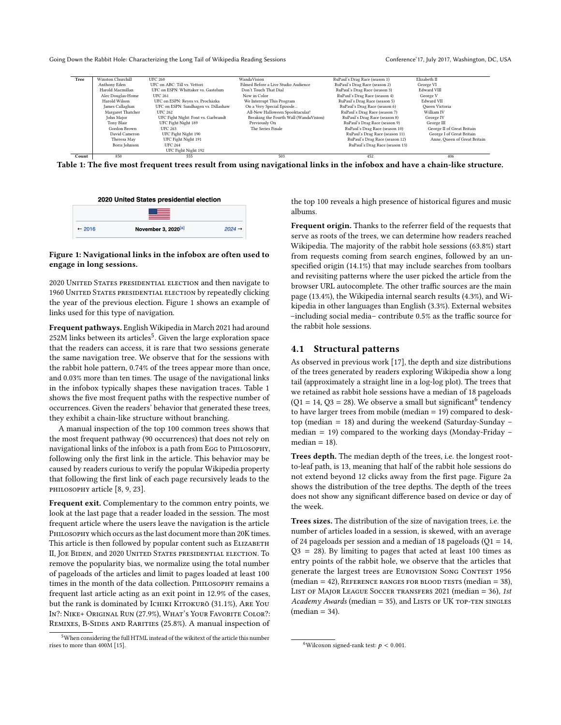Going Down the Rabbit Hole: Characterizing the Long Tail of Wikipedia Reading Sessions Conference' 17, July 2017, Washington, DC, USA

<span id="page-2-2"></span>

Table 1: The five most frequent trees result from using navigational links in the infobox and have a chain-like structure.

<span id="page-2-1"></span>

#### Figure 1: Navigational links in the infobox are often used to engage in long sessions.

2020 United States presidential election and then navigate to 1960 UNITED STATES PRESIDENTIAL ELECTION by repeatedly clicking the year of the previous election. Figure [1](#page-2-1) shows an example of links used for this type of navigation.

Frequent pathways. English Wikipedia in March 2021 had around  $252M$  $252M$  $252M$  links between its articles<sup>5</sup>. Given the large exploration space that the readers can access, it is rare that two sessions generate the same navigation tree. We observe that for the sessions with the rabbit hole pattern, 0.74% of the trees appear more than once, and 0.03% more than ten times. The usage of the navigational links in the infobox typically shapes these navigation traces. Table [1](#page-2-2) shows the five most frequent paths with the respective number of occurrences. Given the readers' behavior that generated these trees, they exhibit a chain-like structure without branching.

A manual inspection of the top 100 common trees shows that the most frequent pathway (90 occurrences) that does not rely on navigational links of the infobox is a path from EGG to PHILOSOPHY, following only the first link in the article. This behavior may be caused by readers curious to verify the popular Wikipedia property that following the first link of each page recursively leads to the PHILOSOPHY article [\[8,](#page-6-20) [9,](#page-6-21) [23\]](#page-6-22).

Frequent exit. Complementary to the common entry points, we look at the last page that a reader loaded in the session. The most frequent article where the users leave the navigation is the article Philosophy which occurs as the last document more than 20K times. This article is then followed by popular content such as ELIZABETH II, Joe Biden, and 2020 United States presidential election. To remove the popularity bias, we normalize using the total number of pageloads of the articles and limit to pages loaded at least 100 times in the month of the data collection. PHILOSOPHY remains a frequent last article acting as an exit point in 12.9% of the cases, but the rank is dominated by ICHIKI KITOKURŌ (31.1%), ARE YOU In?: Nike+ Original Run (27.9%), What's Your Favorite Color?: REMIXES, B-SIDES AND RARITIES (25.8%). A manual inspection of

the top 100 reveals a high presence of historical figures and music albums.

Frequent origin. Thanks to the referrer field of the requests that serve as roots of the trees, we can determine how readers reached Wikipedia. The majority of the rabbit hole sessions (63.8%) start from requests coming from search engines, followed by an unspecified origin (14.1%) that may include searches from toolbars and revisiting patterns where the user picked the article from the browser URL autocomplete. The other traffic sources are the main page (13.4%), the Wikipedia internal search results (4.3%), and Wikipedia in other languages than English (3.3%). External websites –including social media– contribute 0.5% as the traffic source for the rabbit hole sessions.

#### <span id="page-2-0"></span>4.1 Structural patterns

As observed in previous work [\[17\]](#page-6-2), the depth and size distributions of the trees generated by readers exploring Wikipedia show a long tail (approximately a straight line in a log-log plot). The trees that we retained as rabbit hole sessions have a median of 18 pageloads  $(Q1 = 14, Q3 = 28)$ . We observe a small but significant <sup>[6](#page-0-1)</sup> tendency to have larger trees from mobile (median = 19) compared to desktop (median = 18) and during the weekend (Saturday-Sunday – median  $= 19$ ) compared to the working days (Monday-Friday  $$  $median = 18$ ).

Trees depth. The median depth of the trees, i.e. the longest rootto-leaf path, is 13, meaning that half of the rabbit hole sessions do not extend beyond 12 clicks away from the first page. Figure [2a](#page-3-2) shows the distribution of the tree depths. The depth of the trees does not show any significant difference based on device or day of the week.

Trees sizes. The distribution of the size of navigation trees, i.e. the number of articles loaded in a session, is skewed, with an average of 24 pageloads per session and a median of 18 pageloads ( $Q1 = 14$ ,  $Q3 = 28$ ). By limiting to pages that acted at least 100 times as entry points of the rabbit hole, we observe that the articles that generate the largest trees are EUROVISION SONG CONTEST 1956  $(\text{median} = 42)$ , REFERENCE RANGES FOR BLOOD TESTS  $(\text{median} = 38)$ , LIST OF MAJOR LEAGUE SOCCER TRANSFERS 2021 (median  $= 36$ ), 1st  $Academy Awards$  (median = 35), and LISTS OF UK TOP-TEN SINGLES  $(median = 34)$ .

<sup>&</sup>lt;sup>5</sup>When considering the full HTML instead of the wikitext of the article this number rises to more than 400M [\[15\]](#page-6-23).

<sup>&</sup>lt;sup>6</sup>Wilcoxon signed-rank test:  $p < 0.001$ .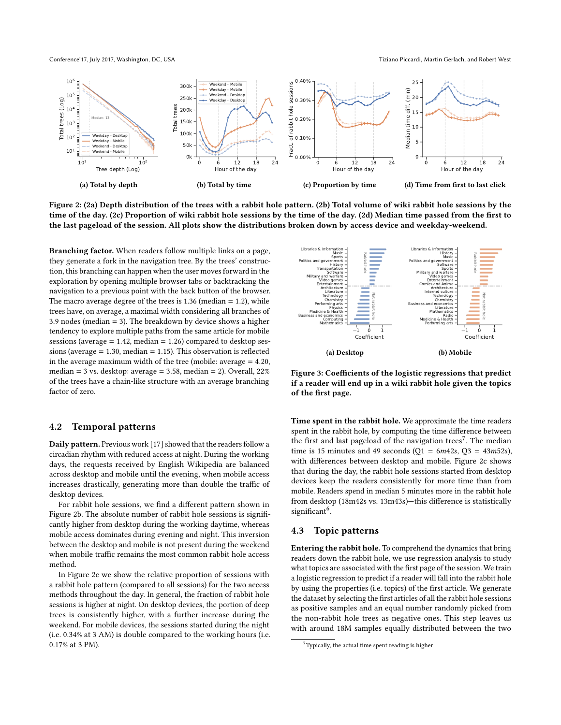Conference'17, July 2017, Washington, DC, USA The Same The Same Tiziano Piccardi, Martin Gerlach, and Robert West

<span id="page-3-2"></span>

Figure 2: [\(2a\)](#page-3-2) Depth distribution of the trees with a rabbit hole pattern. [\(2b\)](#page-3-2) Total volume of wiki rabbit hole sessions by the time of the day. [\(2c\)](#page-3-2) Proportion of wiki rabbit hole sessions by the time of the day. [\(2d\)](#page-3-2) Median time passed from the first to the last pageload of the session. All plots show the distributions broken down by access device and weekday-weekend.

Branching factor. When readers follow multiple links on a page, they generate a fork in the navigation tree. By the trees' construction, this branching can happen when the user moves forward in the exploration by opening multiple browser tabs or backtracking the navigation to a previous point with the back button of the browser. The macro average degree of the trees is  $1.36$  (median  $= 1.2$ ), while trees have, on average, a maximal width considering all branches of 3.9 nodes (median = 3). The breakdown by device shows a higher tendency to explore multiple paths from the same article for mobile sessions (average  $= 1.42$ , median  $= 1.26$ ) compared to desktop sessions (average = 1.30, median = 1.15). This observation is reflected in the average maximum width of the tree (mobile: average = 4.20, median = 3 vs. desktop: average = 3.58, median = 2). Overall, 22% of the trees have a chain-like structure with an average branching factor of zero.

#### <span id="page-3-0"></span>4.2 Temporal patterns

Daily pattern. Previous work [\[17\]](#page-6-2) showed that the readers follow a circadian rhythm with reduced access at night. During the working days, the requests received by English Wikipedia are balanced across desktop and mobile until the evening, when mobile access increases drastically, generating more than double the traffic of desktop devices.

For rabbit hole sessions, we find a different pattern shown in Figure [2b.](#page-3-2) The absolute number of rabbit hole sessions is significantly higher from desktop during the working daytime, whereas mobile access dominates during evening and night. This inversion between the desktop and mobile is not present during the weekend when mobile traffic remains the most common rabbit hole access method.

In Figure [2c](#page-3-2) we show the relative proportion of sessions with a rabbit hole pattern (compared to all sessions) for the two access methods throughout the day. In general, the fraction of rabbit hole sessions is higher at night. On desktop devices, the portion of deep trees is consistently higher, with a further increase during the weekend. For mobile devices, the sessions started during the night (i.e. 0.34% at 3 AM) is double compared to the working hours (i.e. 0.17% at 3 PM).

<span id="page-3-3"></span>

Figure 3: Coefficients of the logistic regressions that predict if a reader will end up in a wiki rabbit hole given the topics of the first page.

Time spent in the rabbit hole. We approximate the time readers spent in the rabbit hole, by computing the time difference between the first and last pageload of the navigation trees<sup>[7](#page-0-1)</sup>. The median time is 15 minutes and 49 seconds ( $Q1 = 6m42s$ ,  $Q3 = 43m52s$ ), with differences between desktop and mobile. Figure [2c](#page-3-2) shows that during the day, the rabbit hole sessions started from desktop devices keep the readers consistently for more time than from mobile. Readers spend in median 5 minutes more in the rabbit hole from desktop (18m42s vs. 13m43s)—this difference is statistically significant<sup>[6](#page-0-1)</sup>.

## <span id="page-3-1"></span>4.3 Topic patterns

Entering the rabbit hole. To comprehend the dynamics that bring readers down the rabbit hole, we use regression analysis to study what topics are associated with the first page of the session. We train a logistic regression to predict if a reader will fall into the rabbit hole by using the properties (i.e. topics) of the first article. We generate the dataset by selecting the first articles of all the rabbit hole sessions as positive samples and an equal number randomly picked from the non-rabbit hole trees as negative ones. This step leaves us with around 18M samples equally distributed between the two

 $7$ Typically, the actual time spent reading is higher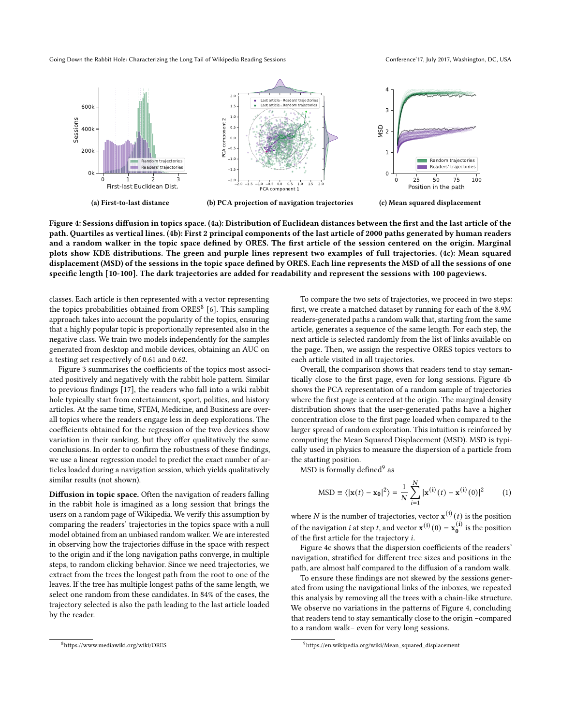Going Down the Rabbit Hole: Characterizing the Long Tail of Wikipedia Reading Sessions Conference' 17, July 2017, Washington, DC, USA

<span id="page-4-0"></span>

Figure 4: Sessions diffusion in topics space. [\(4a\)](#page-4-0): Distribution of Euclidean distances between the first and the last article of the path. Quartiles as vertical lines. [\(4b\)](#page-4-0): First 2 principal components of the last article of 2000 paths generated by human readers and a random walker in the topic space defined by ORES. The first article of the session centered on the origin. Marginal plots show KDE distributions. The green and purple lines represent two examples of full trajectories. [\(4c\)](#page-4-0): Mean squared displacement (MSD) of the sessions in the topic space defined by ORES. Each line represents the MSD of all the sessions of one specific length [10-100]. The dark trajectories are added for readability and represent the sessions with 100 pageviews.

classes. Each article is then represented with a vector representing the topics probabilities obtained from ORES<sup>[8](#page-0-1)</sup> [\[6\]](#page-6-24). This sampling approach takes into account the popularity of the topics, ensuring that a highly popular topic is proportionally represented also in the negative class. We train two models independently for the samples generated from desktop and mobile devices, obtaining an AUC on a testing set respectively of 0.61 and 0.62.

Figure [3](#page-3-3) summarises the coefficients of the topics most associated positively and negatively with the rabbit hole pattern. Similar to previous findings [\[17\]](#page-6-2), the readers who fall into a wiki rabbit hole typically start from entertainment, sport, politics, and history articles. At the same time, STEM, Medicine, and Business are overall topics where the readers engage less in deep explorations. The coefficients obtained for the regression of the two devices show variation in their ranking, but they offer qualitatively the same conclusions. In order to confirm the robustness of these findings, we use a linear regression model to predict the exact number of articles loaded during a navigation session, which yields qualitatively similar results (not shown).

Diffusion in topic space. Often the navigation of readers falling in the rabbit hole is imagined as a long session that brings the users on a random page of Wikipedia. We verify this assumption by comparing the readers' trajectories in the topics space with a null model obtained from an unbiased random walker. We are interested in observing how the trajectories diffuse in the space with respect to the origin and if the long navigation paths converge, in multiple steps, to random clicking behavior. Since we need trajectories, we extract from the trees the longest path from the root to one of the leaves. If the tree has multiple longest paths of the same length, we select one random from these candidates. In 84% of the cases, the trajectory selected is also the path leading to the last article loaded by the reader.

To compare the two sets of trajectories, we proceed in two steps: first, we create a matched dataset by running for each of the 8.9M readers-generated paths a random walk that, starting from the same article, generates a sequence of the same length. For each step, the next article is selected randomly from the list of links available on the page. Then, we assign the respective ORES topics vectors to each article visited in all trajectories.

Overall, the comparison shows that readers tend to stay semantically close to the first page, even for long sessions. Figure [4b](#page-4-0) shows the PCA representation of a random sample of trajectories where the first page is centered at the origin. The marginal density distribution shows that the user-generated paths have a higher concentration close to the first page loaded when compared to the larger spread of random exploration. This intuition is reinforced by computing the Mean Squared Displacement (MSD). MSD is typically used in physics to measure the dispersion of a particle from the starting position.

 $\mathrm{MSD}$  is formally defined $^9$  $^9$  as

$$
MSD \equiv \langle |\mathbf{x}(t) - \mathbf{x_0}|^2 \rangle = \frac{1}{N} \sum_{i=1}^{N} |\mathbf{x}^{(i)}(t) - \mathbf{x}^{(i)}(0)|^2 \tag{1}
$$

where N is the number of trajectories, vector  $\mathbf{x}^{(i)}(t)$  is the position of the navigation *i* at step *t*, and vector  $\mathbf{x}^{(i)}(0) = \mathbf{x}_0^{(i)}$  is the position of the first article for the trajectory  $i$ .

Figure [4c](#page-4-0) shows that the dispersion coefficients of the readers' navigation, stratified for different tree sizes and positions in the path, are almost half compared to the diffusion of a random walk.

To ensure these findings are not skewed by the sessions generated from using the navigational links of the inboxes, we repeated this analysis by removing all the trees with a chain-like structure. We observe no variations in the patterns of Figure [4,](#page-4-0) concluding that readers tend to stay semantically close to the origin –compared to a random walk– even for very long sessions.

<sup>8</sup><https://www.mediawiki.org/wiki/ORES>

<sup>9</sup>[https://en.wikipedia.org/wiki/Mean\\_squared\\_displacement](https://en.wikipedia.org/wiki/Mean_squared_displacement)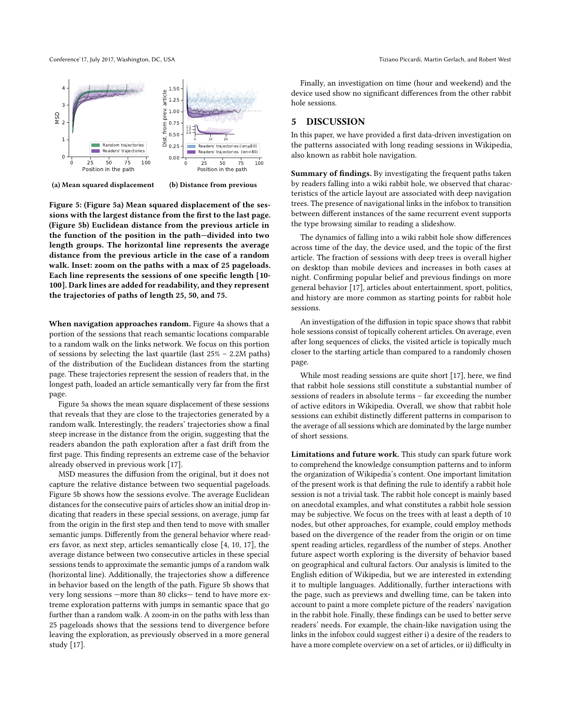<span id="page-5-1"></span>



(b) Distance from previous

Figure 5: (Figure [5a\)](#page-5-1) Mean squared displacement of the sessions with the largest distance from the first to the last page. (Figure [5b\)](#page-5-1) Euclidean distance from the previous article in the function of the position in the path—divided into two length groups. The horizontal line represents the average distance from the previous article in the case of a random walk. Inset: zoom on the paths with a max of 25 pageloads. Each line represents the sessions of one specific length [10- 100]. Dark lines are added for readability, and they represent the trajectories of paths of length 25, 50, and 75.

When navigation approaches random. Figure [4a](#page-4-0) shows that a portion of the sessions that reach semantic locations comparable to a random walk on the links network. We focus on this portion of sessions by selecting the last quartile (last 25% – 2.2M paths) of the distribution of the Euclidean distances from the starting page. These trajectories represent the session of readers that, in the longest path, loaded an article semantically very far from the first page.

Figure [5a](#page-5-1) shows the mean square displacement of these sessions that reveals that they are close to the trajectories generated by a random walk. Interestingly, the readers' trajectories show a final steep increase in the distance from the origin, suggesting that the readers abandon the path exploration after a fast drift from the first page. This finding represents an extreme case of the behavior already observed in previous work [\[17\]](#page-6-2).

MSD measures the diffusion from the original, but it does not capture the relative distance between two sequential pageloads. Figure [5b](#page-5-1) shows how the sessions evolve. The average Euclidean distances for the consecutive pairs of articles show an initial drop indicating that readers in these special sessions, on average, jump far from the origin in the first step and then tend to move with smaller semantic jumps. Differently from the general behavior where readers favor, as next step, articles semantically close [\[4,](#page-6-14) [10,](#page-6-15) [17\]](#page-6-2), the average distance between two consecutive articles in these special sessions tends to approximate the semantic jumps of a random walk (horizontal line). Additionally, the trajectories show a difference in behavior based on the length of the path. Figure [5b](#page-5-1) shows that very long sessions —more than 80 clicks— tend to have more extreme exploration patterns with jumps in semantic space that go further than a random walk. A zoom-in on the paths with less than 25 pageloads shows that the sessions tend to divergence before leaving the exploration, as previously observed in a more general study [\[17\]](#page-6-2).

Finally, an investigation on time (hour and weekend) and the device used show no significant differences from the other rabbit hole sessions.

## <span id="page-5-0"></span>5 DISCUSSION

In this paper, we have provided a first data-driven investigation on the patterns associated with long reading sessions in Wikipedia, also known as rabbit hole navigation.

Summary of findings. By investigating the frequent paths taken by readers falling into a wiki rabbit hole, we observed that characteristics of the article layout are associated with deep navigation trees. The presence of navigational links in the infobox to transition between different instances of the same recurrent event supports the type browsing similar to reading a slideshow.

The dynamics of falling into a wiki rabbit hole show differences across time of the day, the device used, and the topic of the first article. The fraction of sessions with deep trees is overall higher on desktop than mobile devices and increases in both cases at night. Confirming popular belief and previous findings on more general behavior [\[17\]](#page-6-2), articles about entertainment, sport, politics, and history are more common as starting points for rabbit hole sessions.

An investigation of the diffusion in topic space shows that rabbit hole sessions consist of topically coherent articles. On average, even after long sequences of clicks, the visited article is topically much closer to the starting article than compared to a randomly chosen page.

While most reading sessions are quite short [\[17\]](#page-6-2), here, we find that rabbit hole sessions still constitute a substantial number of sessions of readers in absolute terms – far exceeding the number of active editors in Wikipedia. Overall, we show that rabbit hole sessions can exhibit distinctly different patterns in comparison to the average of all sessions which are dominated by the large number of short sessions.

Limitations and future work. This study can spark future work to comprehend the knowledge consumption patterns and to inform the organization of Wikipedia's content. One important limitation of the present work is that defining the rule to identify a rabbit hole session is not a trivial task. The rabbit hole concept is mainly based on anecdotal examples, and what constitutes a rabbit hole session may be subjective. We focus on the trees with at least a depth of 10 nodes, but other approaches, for example, could employ methods based on the divergence of the reader from the origin or on time spent reading articles, regardless of the number of steps. Another future aspect worth exploring is the diversity of behavior based on geographical and cultural factors. Our analysis is limited to the English edition of Wikipedia, but we are interested in extending it to multiple languages. Additionally, further interactions with the page, such as previews and dwelling time, can be taken into account to paint a more complete picture of the readers' navigation in the rabbit hole. Finally, these findings can be used to better serve readers' needs. For example, the chain-like navigation using the links in the infobox could suggest either i) a desire of the readers to have a more complete overview on a set of articles, or ii) difficulty in